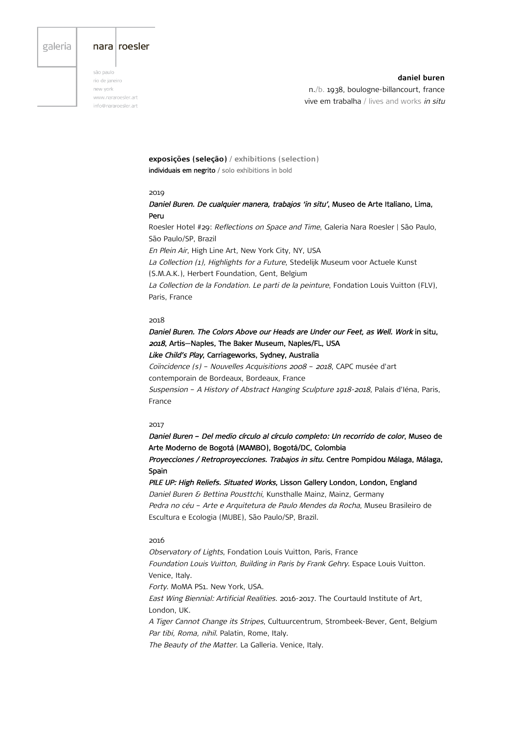# galeria

## nara roesler

são paulo rio de janeiro new vork www.nararoesler.art info@nararoesler.art

**daniel buren** n./b. 1938, boulogne-billancourt, france vive em trabalha / lives and works in situ

**exposições (seleção) / exhibitions (selection)** individuais em negrito / solo exhibitions in bold

### 2019

Daniel Buren. De cualquier manera, trabajos 'in situ', Museo de Arte Italiano, Lima, Peru

Roesler Hotel #29: Reflections on Space and Time, Galeria Nara Roesler | São Paulo, São Paulo/SP, Brazil En Plein Air, High Line Art, New York City, NY, USA La Collection (1), Highlights for a Future, Stedelijk Museum voor Actuele Kunst (S.M.A.K.), Herbert Foundation, Gent, Belgium La Collection de la Fondation. Le parti de la peinture, Fondation Louis Vuitton (FLV), Paris, France

### 2018

Daniel Buren. The Colors Above our Heads are Under our Feet, as Well. Work in situ, 2018, Artis—Naples, The Baker Museum, Naples/FL, USA

Like Child's Play, Carriageworks, Sydney, Australia

Coïncidence (s) – Nouvelles Acquisitions 2008 – 2018, CAPC musée d'art contemporain de Bordeaux, Bordeaux, France

Suspension – A History of Abstract Hanging Sculpture 1918-2018, Palais d'Iéna, Paris, France

## 2017

Daniel Buren – Del medio círculo al círculo completo: Un recorrido de color, Museo de Arte Moderno de Bogotá (MAMBO), Bogotá/DC, Colombia

Proyecciones / Retroproyecciones. Trabajos in situ. Centre Pompidou Málaga, Málaga, Spain

PILE UP: High Reliefs. Situated Works, Lisson Gallery London, London, England Daniel Buren & Bettina Pousttchi, Kunsthalle Mainz, Mainz, Germany Pedra no céu - Arte e Arquitetura de Paulo Mendes da Rocha, Museu Brasileiro de Escultura e Ecologia (MUBE), São Paulo/SP, Brazil.

## 2016

Observatory of Lights, Fondation Louis Vuitton, Paris, France Foundation Louis Vuitton, Building in Paris by Frank Gehry. Espace Louis Vuitton. Venice, Italy. Forty. MoMA PS1. New York, USA. East Wing Biennial: Artificial Realities. 2016-2017. The Courtauld Institute of Art, London, UK. A Tiger Cannot Change its Stripes, Cultuurcentrum, Strombeek-Bever, Gent, Belgium Par tibi, Roma, nihil. Palatin, Rome, Italy. The Beauty of the Matter. La Galleria. Venice, Italy.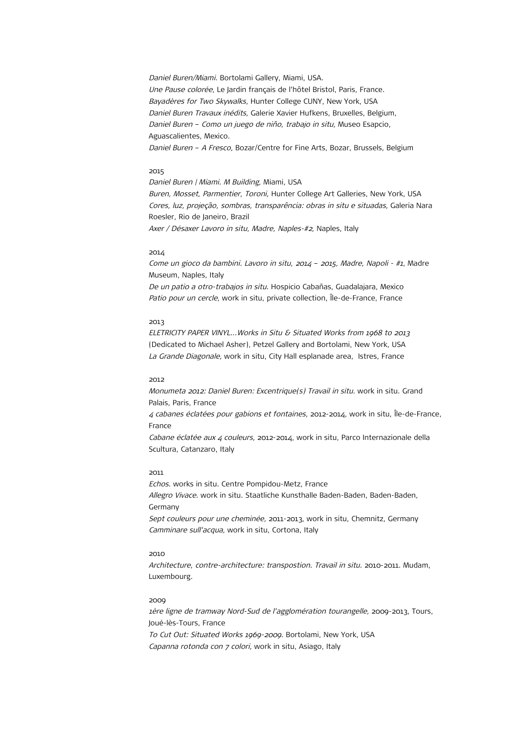Daniel Buren/Miami. Bortolami Gallery, Miami, USA. Une Pause colorée, Le Jardin français de l'hôtel Bristol, Paris, France. Bayadères for Two Skywalks, Hunter College CUNY, New York, USA Daniel Buren Travaux inédits, Galerie Xavier Hufkens, Bruxelles, Belgium, Daniel Buren – Como un juego de niño, trabajo in situ, Museo Esapcio, Aguascalientes, Mexico. Daniel Buren - A Fresco, Bozar/Centre for Fine Arts, Bozar, Brussels, Belgium

## 2015

Daniel Buren | Miami. M Building, Miami, USA Buren, Mosset, Parmentier, Toroni, Hunter College Art Galleries, New York, USA Cores, luz, projeção, sombras, transparência: obras in situ e situadas, Galeria Nara Roesler, Rio de Janeiro, Brazil Axer / Désaxer Lavoro in situ, Madre, Naples-#2, Naples, Italy

### 2014

Come un gioco da bambini. Lavoro in situ, 2014 – 2015, Madre, Napoli - #1, Madre Museum, Naples, Italy De un patio a otro-trabajos in situ. Hospicio Cabañas, Guadalajara, Mexico Patio pour un cercle, work in situ, private collection, Île-de-France, France

### 2013

ELETRICITY PAPER VINYL...Works in Situ & Situated Works from 1968 to 2013 (Dedicated to Michael Asher), Petzel Gallery and Bortolami, New York, USA La Grande Diagonale, work in situ, City Hall esplanade area, Istres, France

# 2012

Monumeta 2012: Daniel Buren: Excentrique(s) Travail in situ. work in situ. Grand Palais, Paris, France 4 cabanes éclatées pour gabions et fontaines, 2012-2014, work in situ, Île-de-France, France Cabane éclatée aux 4 couleurs, 2012-2014, work in situ, Parco Internazionale della Scultura, Catanzaro, Italy

# 2011

Echos. works in situ. Centre Pompidou-Metz, France Allegro Vivace. work in situ. Staatliche Kunsthalle Baden-Baden, Baden-Baden, Germany Sept couleurs pour une cheminée, 2011-2013, work in situ, Chemnitz, Germany Camminare sull'acqua, work in situ, Cortona, Italy

# 2010

Architecture, contre-architecture: transpostion. Travail in situ. 2010-2011. Mudam, Luxembourg.

## 2009

1ère ligne de tramway Nord-Sud de l'agglomération tourangelle, 2009-2013, Tours, Joué-lès-Tours, France To Cut Out: Situated Works 1969-2009. Bortolami, New York, USA Capanna rotonda con 7 colori, work in situ, Asiago, Italy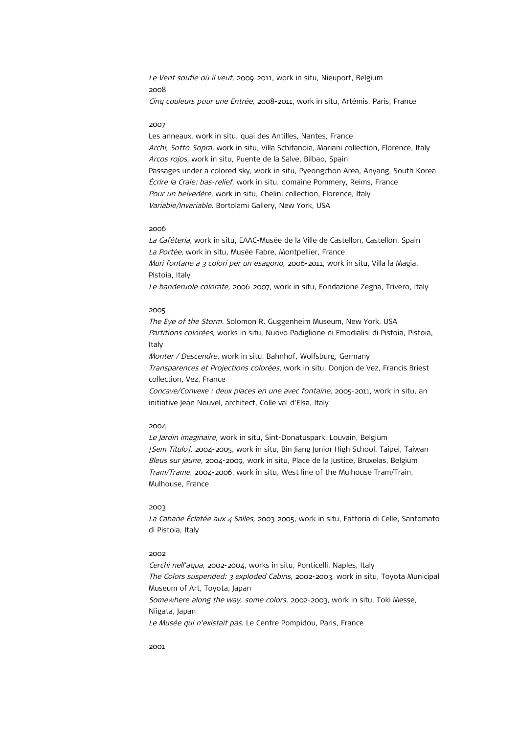Le Vent soufle où il veut, 2009-2011, work in situ, Nieuport, Belgium 2008 Cinq couleurs pour une Entrée, 2008-2011, work in situ, Artémis, Paris, France

### 2007

Les anneaux, work in situ, quai des Antilles, Nantes, France Archi, Sotto-Sopra, work in situ, Villa Schifanoia, Mariani collection, Florence, Italy Arcos rojos, work in situ, Puente de la Salve, Bilbao, Spain Passages under a colored sky, work in situ, Pyeongchon Area, Anyang, South Korea Écrire la Craie: bas-relief, work in situ, domaine Pommery, Reims, France Pour un belvedère, work in situ, Chelini collection, Florence, Italy Variable/Invariable. Bortolami Gallery, New York, USA

#### 2006

La Caféteria, work in situ, EAAC-Musée de la Ville de Castellon, Castellon, Spain La Portée, work in situ, Musée Fabre, Montpellier, France Muri fontane a 3 colori per un esagono, 2006-2011, work in situ, Villa la Magia, Pistoia, Italy Le banderuole colorate, 2006-2007, work in situ, Fondazione Zegna, Trivero, Italy

# 2005

The Eye of the Storm. Solomon R. Guggenheim Museum, New York, USA Partitions colorées, works in situ. Nuovo Padiglione di Emodialisi di Pistoia, Pistoia, Italy

Monter / Descendre, work in situ, Bahnhof, Wolfsburg, Germany Transparences et Projections colorées, work in situ, Donjon de Vez, Francis Briest collection, Vez, France

Concave/Convexe : deux places en une avec fontaine, 2005-2011, work in situ, an initiative Jean Nouvel, architect, Colle val d'Elsa, Italy

## 2004

Le Jardin imaginaire, work in situ, Sint-Donatuspark, Louvain, Belgium [Sem Título], 2004-2005, work in situ, Bin Jiang Junior High School, Taipei, Taiwan Bleus sur jaune, 2004-2009, work in situ, Place de la Justice, Bruxelas, Belgium Tram/Trame, 2004-2006, work in situ, West line of the Mulhouse Tram/Train, Mulhouse, France

#### 2003

La Cabane Éclatée aux 4 Salles, 2003-2005, work in situ, Fattoria di Celle, Santomato di Pistoia, Italy

# 2002

Cerchi nell'aqua, 2002-2004, works in situ, Ponticelli, Naples, Italy The Colors suspended: 3 exploded Cabins, 2002-2003, work in situ, Toyota Municipal Museum of Art, Toyota, Japan Somewhere along the way, some colors, 2002-2003, work in situ, Toki Messe, Niigata, Japan Le Musée qui n'existait pas. Le Centre Pompidou, Paris, France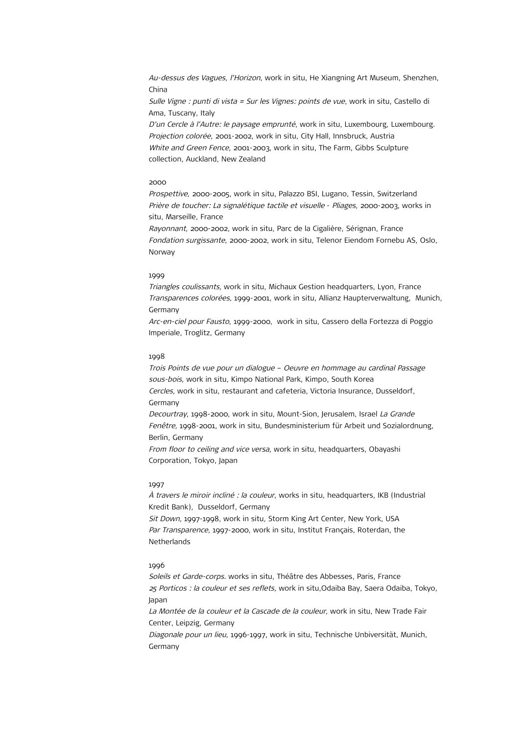Au-dessus des Vagues, l'Horizon, work in situ, He Xiangning Art Museum, Shenzhen, China

Sulle Vigne : punti di vista = Sur les Vignes: points de vue, work in situ, Castello di Ama, Tuscany, Italy

D'un Cercle à l'Autre: le paysage emprunté, work in situ, Luxembourg, Luxembourg. Projection colorée, 2001-2002, work in situ, City Hall, Innsbruck, Austria White and Green Fence, 2001-2003, work in situ, The Farm, Gibbs Sculpture collection, Auckland, New Zealand

## 2000

Prospettive, 2000-2005, work in situ, Palazzo BSI, Lugano, Tessin, Switzerland Prière de toucher: La signalétique tactile et visuelle - Pliages, 2000-2003, works in situ, Marseille, France

Rayonnant, 2000-2002, work in situ, Parc de la Cigalière, Sérignan, France Fondation surgissante, 2000-2002, work in situ, Telenor Eiendom Fornebu AS, Oslo, Norway

## 1999

Triangles coulissants, work in situ, Michaux Gestion headquarters, Lyon, France Transparences colorées, 1999-2001, work in situ, Allianz Haupterverwaltung, Munich, Germany

Arc-en-ciel pour Fausto, 1999-2000, work in situ, Cassero della Fortezza di Poggio Imperiale, Troglitz, Germany

# 1998

Trois Points de vue pour un dialogue – Oeuvre en hommage au cardinal Passage sous-bois, work in situ, Kimpo National Park, Kimpo, South Korea Cercles, work in situ, restaurant and cafeteria, Victoria Insurance, Dusseldorf, Germany Decourtray, 1998-2000, work in situ, Mount-Sion, Jerusalem, Israel La Grande Fenêtre, 1998-2001, work in situ, Bundesministerium für Arbeit und Sozialordnung, Berlin, Germany From floor to ceiling and vice versa, work in situ, headquarters, Obayashi Corporation, Tokyo, Japan

## 1997

À travers le miroir incliné : la couleur, works in situ, headquarters, IKB (Industrial Kredit Bank), Dusseldorf, Germany

Sit Down, 1997-1998, work in situ, Storm King Art Center, New York, USA Par Transparence, 1997-2000, work in situ, Institut Français, Roterdan, the **Netherlands** 

# 1996

Soleils et Garde-corps. works in situ, Théâtre des Abbesses, Paris, France 25 Porticos : la couleur et ses reflets, work in situ,Odaiba Bay, Saera Odaiba, Tokyo, Japan

La Montée de la couleur et la Cascade de la couleur, work in situ, New Trade Fair Center, Leipzig, Germany

Diagonale pour un lieu, 1996-1997, work in situ, Technische Unbiversität, Munich, Germany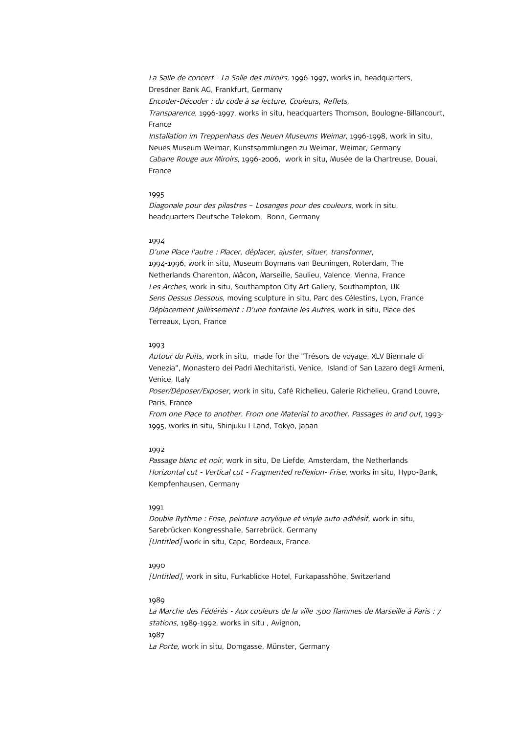La Salle de concert - La Salle des miroirs, 1996-1997, works in, headquarters, Dresdner Bank AG, Frankfurt, Germany Encoder-Décoder : du code à sa lecture, Couleurs, Reflets, Transparence, 1996-1997, works in situ, headquarters Thomson, Boulogne-Billancourt, France Installation im Treppenhaus des Neuen Museums Weimar, 1996-1998, work in situ, Neues Museum Weimar, Kunstsammlungen zu Weimar, Weimar, Germany Cabane Rouge aux Miroirs, 1996-2006, work in situ, Musée de la Chartreuse, Douai, France

### 1995

Diagonale pour des pilastres – Losanges pour des couleurs, work in situ, headquarters Deutsche Telekom, Bonn, Germany

### 1994

D'une Place l'autre : Placer, déplacer, ajuster, situer, transformer, 1994-1996, work in situ, Museum Boymans van Beuningen, Roterdam, The Netherlands Charenton, Mâcon, Marseille, Saulieu, Valence, Vienna, France Les Arches, work in situ, Southampton City Art Gallery, Southampton, UK Sens Dessus Dessous, moving sculpture in situ, Parc des Célestins, Lyon, France Déplacement-Jaillissement : D'une fontaine les Autres, work in situ, Place des Terreaux, Lyon, France

### 1993

Autour du Puits, work in situ, made for the "Trésors de voyage, XLV Biennale di Venezia", Monastero dei Padri Mechitaristi, Venice, Island of San Lazaro degli Armeni, Venice, Italy

Poser/Déposer/Exposer, work in situ, Café Richelieu, Galerie Richelieu, Grand Louvre, Paris, France

From one Place to another. From one Material to another. Passages in and out, 1993- 1995, works in situ, Shinjuku I-Land, Tokyo, Japan

#### 1992

Passage blanc et noir, work in situ, De Liefde, Amsterdam, the Netherlands Horizontal cut - Vertical cut - Fragmented reflexion- Frise, works in situ, Hypo-Bank, Kempfenhausen, Germany

#### 1991

Double Rythme : Frise, peinture acrylique et vinyle auto-adhésif, work in situ, Sarebrücken Kongresshalle, Sarrebrück, Germany [Untitled] work in situ, Capc, Bordeaux, France.

### 1990

[Untitled], work in situ, Furkablicke Hotel, Furkapasshöhe, Switzerland

## 1989

La Marche des Fédérés - Aux couleurs de la ville :500 flammes de Marseille à Paris : 7 stations, 1989-1992, works in situ , Avignon, 1987 La Porte, work in situ, Domgasse, Münster, Germany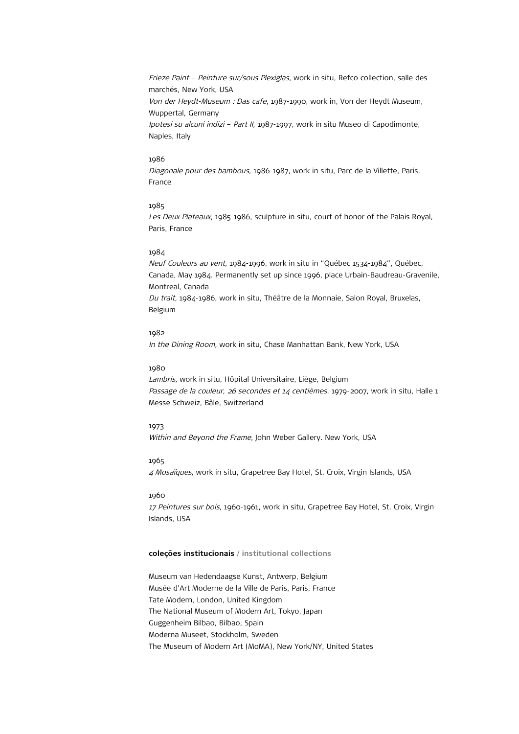Frieze Paint – Peinture sur/sous Plexiglas, work in situ, Refco collection, salle des marchés, New York, USA Von der Heydt-Museum : Das cafe, 1987-1990, work in, Von der Heydt Museum, Wuppertal, Germany Ipotesi su alcuni indizi – Part II, 1987-1997, work in situ Museo di Capodimonte, Naples, Italy

# 1986

Diagonale pour des bambous, 1986-1987, work in situ, Parc de la Villette, Paris, France

# 1985

Les Deux Plateaux, 1985-1986, sculpture in situ, court of honor of the Palais Royal, Paris, France

# 1984

Neuf Couleurs au vent, 1984-1996, work in situ in "Québec 1534-1984", Québec, Canada, May 1984. Permanently set up since 1996, place Urbain-Baudreau-Gravenile, Montreal, Canada Du trait, 1984-1986, work in situ, Théâtre de la Monnaie, Salon Royal, Bruxelas, Belgium

# 1982

In the Dining Room, work in situ, Chase Manhattan Bank, New York, USA

# 1980

Lambris, work in situ, Hôpital Universitaire, Liège, Belgium Passage de la couleur, 26 secondes et  $14$  centièmes, 1979-2007, work in situ, Halle 1 Messe Schweiz, Bâle, Switzerland

## 1973

Within and Beyond the Frame, John Weber Gallery. New York, USA

# 1965

4 Mosaïques, work in situ, Grapetree Bay Hotel, St. Croix, Virgin Islands, USA

### 1960

17 Peintures sur bois, 1960-1961, work in situ, Grapetree Bay Hotel, St. Croix, Virgin Islands, USA

# **coleções institucionais / institutional collections**

Museum van Hedendaagse Kunst, Antwerp, Belgium Musée d'Art Moderne de la Ville de Paris, Paris, France Tate Modern, London, United Kingdom The National Museum of Modern Art, Tokyo, Japan Guggenheim Bilbao, Bilbao, Spain Moderna Museet, Stockholm, Sweden The Museum of Modern Art (MoMA), New York/NY, United States